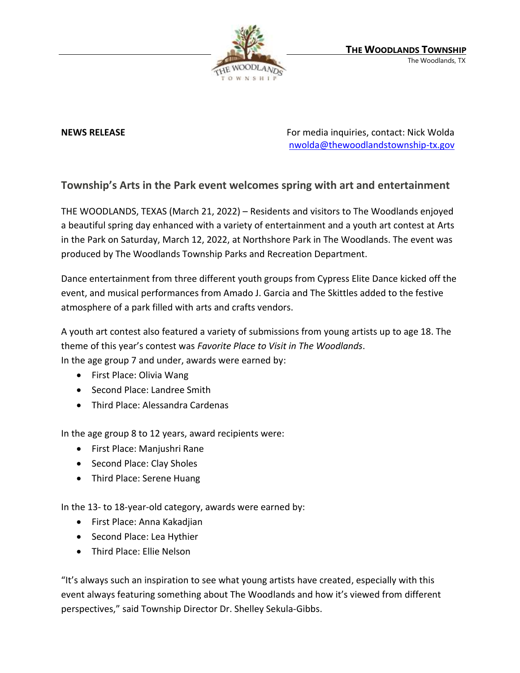

**NEWS RELEASE** For media inquiries, contact: Nick Wolda **NEWS** RELEASE [nwolda@thewoodlandstownship-tx.gov](mailto:nwolda@thewoodlandstownship-tx.gov)

## **Township's Arts in the Park event welcomes spring with art and entertainment**

THE WOODLANDS, TEXAS (March 21, 2022) – Residents and visitors to The Woodlands enjoyed a beautiful spring day enhanced with a variety of entertainment and a youth art contest at Arts in the Park on Saturday, March 12, 2022, at Northshore Park in The Woodlands. The event was produced by The Woodlands Township Parks and Recreation Department.

Dance entertainment from three different youth groups from Cypress Elite Dance kicked off the event, and musical performances from Amado J. Garcia and The Skittles added to the festive atmosphere of a park filled with arts and crafts vendors.

A youth art contest also featured a variety of submissions from young artists up to age 18. The theme of this year's contest was *Favorite Place to Visit in The Woodlands*.

In the age group 7 and under, awards were earned by:

- First Place: Olivia Wang
- Second Place: Landree Smith
- Third Place: Alessandra Cardenas

In the age group 8 to 12 years, award recipients were:

- First Place: Manjushri Rane
- Second Place: Clay Sholes
- Third Place: Serene Huang

In the 13- to 18-year-old category, awards were earned by:

- First Place: Anna Kakadjian
- Second Place: Lea Hythier
- Third Place: Ellie Nelson

"It's always such an inspiration to see what young artists have created, especially with this event always featuring something about The Woodlands and how it's viewed from different perspectives," said Township Director Dr. Shelley Sekula-Gibbs.